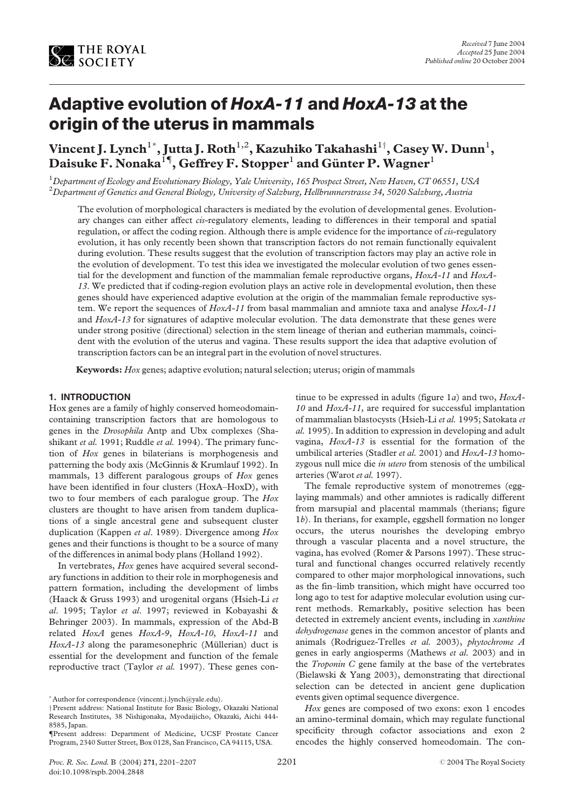

# Adaptive evolution of HoxA-11 and HoxA-13 at the origin of the uterus in mammals

Vincent J. Lynch $^{1*}$ , Jutta J. Roth $^{1,2}$ , Kazuhiko Takahashi $^{1\dagger}$ , Casey W. Dunn $^{1}$ , Daisuke F. Nonaka $^{14}$ , Geffrey F. Stopper $^1$  and Günter P. Wagner $^1$ 

 $^1$ Department of Ecology and Evolutionary Biology, Yale University, 165 Prospect Street, New Haven, CT 06551, USA  $^2$ Department of Genetics and General Biology, University of Salzburg, Hellbrunnerstrasse 34, 5020 Salzburg, Austria

The evolution of morphological characters is mediated by the evolution of developmental genes. Evolutionary changes can either affect cis-regulatory elements, leading to differences in their temporal and spatial regulation, or affect the coding region. Although there is ample evidence for the importance of cis-regulatory evolution, it has only recently been shown that transcription factors do not remain functionally equivalent during evolution. These results suggest that the evolution of transcription factors may play an active role in the evolution of development. To test this idea we investigated the molecular evolution of two genes essential for the development and function of the mammalian female reproductive organs, HoxA-11 and HoxA-13. We predicted that if coding-region evolution plays an active role in developmental evolution, then these genes should have experienced adaptive evolution at the origin of the mammalian female reproductive system. We report the sequences of  $HoxA-11$  from basal mammalian and amniote taxa and analyse  $HoxA-11$ and HoxA-13 for signatures of adaptive molecular evolution. The data demonstrate that these genes were under strong positive (directional) selection in the stem lineage of therian and eutherian mammals, coincident with the evolution of the uterus and vagina. These results support the idea that adaptive evolution of transcription factors can be an integral part in the evolution of novel structures.

Keywords: Hox genes; adaptive evolution; natural selection; uterus; origin of mammals

### 1. INTRODUCTION

Hox genes are a family of highly conserved homeodomaincontaining transcription factors that are homologous to genes in the Drosophila Antp and Ubx complexes (Shashikant et al. 1991; Ruddle et al. 1994). The primary function of Hox genes in bilaterians is morphogenesis and patterning the body axis (McGinnis & Krumlauf 1992). In mammals, 13 different paralogous groups of Hox genes have been identified in four clusters (HoxA–HoxD), with two to four members of each paralogue group. The Hox clusters are thought to have arisen from tandem duplications of a single ancestral gene and subsequent cluster duplication (Kappen et al. 1989). Divergence among Hox genes and their functions is thought to be a source of many of the differences in animal body plans (Holland 1992).

In vertebrates, Hox genes have acquired several secondary functions in addition to their role in morphogenesis and pattern formation, including the development of limbs (Haack & Gruss 1993) and urogenital organs (Hsieh-Li et al. 1995; Taylor et al. 1997; reviewed in Kobayashi & Behringer 2003). In mammals, expression of the Abd-B related HoxA genes HoxA-9, HoxA-10, HoxA-11 and  $HoxA-13$  along the paramesonephric (Müllerian) duct is essential for the development and function of the female reproductive tract (Taylor et al. 1997). These genes con-

tinue to be expressed in adults (figure  $1a$ ) and two,  $HoxA$ -10 and HoxA-11, are required for successful implantation of mammalian blastocysts (Hsieh-Li et al. 1995; Satokata et al. 1995). In addition to expression in developing and adult vagina, HoxA-13 is essential for the formation of the umbilical arteries (Stadler et al. 2001) and HoxA-13 homozygous null mice die in utero from stenosis of the umbilical arteries (Warot et al. 1997).

The female reproductive system of monotremes (egglaying mammals) and other amniotes is radically different from marsupial and placental mammals (therians; [figure](#page-1-0) [1](#page-1-0)b). In therians, for example, eggshell formation no longer occurs, the uterus nourishes the developing embryo through a vascular placenta and a novel structure, the vagina, has evolved (Romer & Parsons 1997). These structural and functional changes occurred relatively recently compared to other major morphological innovations, such as the fin–limb transition, which might have occurred too long ago to test for adaptive molecular evolution using current methods. Remarkably, positive selection has been detected in extremely ancient events, including in xanthine dehydrogenase genes in the common ancestor of plants and animals (Rodriguez-Trelles et al. 2003), phytochrome A genes in early angiosperms (Mathews et al. 2003) and in the Troponin C gene family at the base of the vertebrates (Bielawski & Yang 2003), demonstrating that directional selection can be detected in ancient gene duplication events given optimal sequence divergence.

Hox genes are composed of two exons: exon 1 encodes an amino-terminal domain, which may regulate functional specificity through cofactor associations and exon 2 encodes the highly conserved homeodomain. The con-

Author for correspondence (vincent.j.lynch@yale.edu).

Present address: National Institute for Basic Biology, Okazaki National Research Institutes, 38 Nishigonaka, Myodaijicho, Okazaki, Aichi 444- 8585, Japan.

<sup>{</sup>Present address: Department of Medicine, UCSF Prostate Cancer Program, 2340 Sutter Street, Box 0128, San Francisco, CA 94115, USA.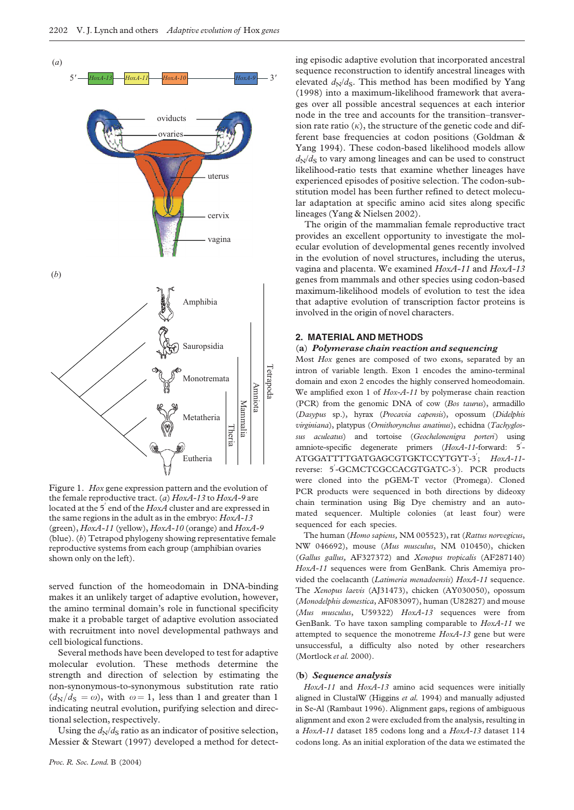<span id="page-1-0"></span>

Figure 1. Hox gene expression pattern and the evolution of the female reproductive tract. (a)  $HoxA-13$  to  $HoxA-9$  are located at the 5<sup>'</sup> end of the  $HoxA$  cluster and are expressed in the same regions in the adult as in the embryo: HoxA-13 (green),  $HoxA-11$  (yellow),  $HoxA-10$  (orange) and  $HoxA-9$ (blue). (b) Tetrapod phylogeny showing representative female reproductive systems from each group (amphibian ovaries shown only on the left).

served function of the homeodomain in DNA-binding makes it an unlikely target of adaptive evolution, however, the amino terminal domain's role in functional specificity make it a probable target of adaptive evolution associated with recruitment into novel developmental pathways and cell biological functions.

Several methods have been developed to test for adaptive molecular evolution. These methods determine the strength and direction of selection by estimating the non-synonymous-to-synonymous substitution rate ratio  $(d_N/d_S = \omega)$ , with  $\omega = 1$ , less than 1 and greater than 1 indicating neutral evolution, purifying selection and directional selection, respectively.

Using the  $d_N/d_S$  ratio as an indicator of positive selection, Messier & Stewart (1997) developed a method for detecting episodic adaptive evolution that incorporated ancestral sequence reconstruction to identify ancestral lineages with elevated  $d_N/d_S$ . This method has been modified by Yang (1998) into a maximum-likelihood framework that averages over all possible ancestral sequences at each interior node in the tree and accounts for the transition–transversion rate ratio  $(k)$ , the structure of the genetic code and different base frequencies at codon positions (Goldman & Yang 1994). These codon-based likelihood models allow  $d_N/d_S$  to vary among lineages and can be used to construct likelihood-ratio tests that examine whether lineages have experienced episodes of positive selection. The codon-substitution model has been further refined to detect molecular adaptation at specific amino acid sites along specific lineages (Yang & Nielsen 2002).

The origin of the mammalian female reproductive tract provides an excellent opportunity to investigate the molecular evolution of developmental genes recently involved in the evolution of novel structures, including the uterus, vagina and placenta. We examined HoxA-11 and HoxA-13 genes from mammals and other species using codon-based maximum-likelihood models of evolution to test the idea that adaptive evolution of transcription factor proteins is involved in the origin of novel characters.

#### 2. MATERIAL AND METHODS

#### (a) Polymerase chain reaction and sequencing

Most Hox genes are composed of two exons, separated by an intron of variable length. Exon 1 encodes the amino-terminal domain and exon 2 encodes the highly conserved homeodomain. We amplified exon 1 of Hox-A-11 by polymerase chain reaction (PCR) from the genomic DNA of cow (Bos taurus), armadillo (Dasypus sp.), hyrax (Procavia capensis), opossum (Didelphis virginiana), platypus (Ornithorynchus anatinus), echidna (Tachyglossus aculeatus) and tortoise (Geochelonenigra porteri) using amniote-specific degenerate primers  $(HoxA-11$ -forward: 5'-ATGGATTTTGATGAGCGTGKTCCYTGYT-3<sup>'</sup>; HoxA-11reverse: 5'-GCMCTCGCCACGTGATC-3'). PCR products were cloned into the pGEM-T vector (Promega). Cloned PCR products were sequenced in both directions by dideoxy chain termination using Big Dye chemistry and an automated sequencer. Multiple colonies (at least four) were sequenced for each species.

The human (Homo sapiens, NM 005523), rat (Rattus norvegicus, NW 046692), mouse (Mus musculus, NM 010450), chicken (Gallus gallus, AF327372) and Xenopus tropicalis (AF287140) HoxA-11 sequences were from GenBank. Chris Amemiya provided the coelacanth (Latimeria menadoensis) HoxA-11 sequence. The Xenopus laevis (AJ31473), chicken (AY030050), opossum (Monodelphis domestica, AF083097), human (U82827) and mouse (Mus musculus, U59322) HoxA-13 sequences were from GenBank. To have taxon sampling comparable to HoxA-11 we attempted to sequence the monotreme  $HoxA-13$  gene but were unsuccessful, a difficulty also noted by other researchers (Mortlock et al. 2000).

### (b) Sequence analysis

HoxA-11 and HoxA-13 amino acid sequences were initially aligned in ClustalW (Higgins et al. 1994) and manually adjusted in Se-Al (Rambaut 1996). Alignment gaps, regions of ambiguous alignment and exon 2 were excluded from the analysis, resulting in a HoxA-11 dataset 185 codons long and a HoxA-13 dataset 114 codons long. As an initial exploration of the data we estimated the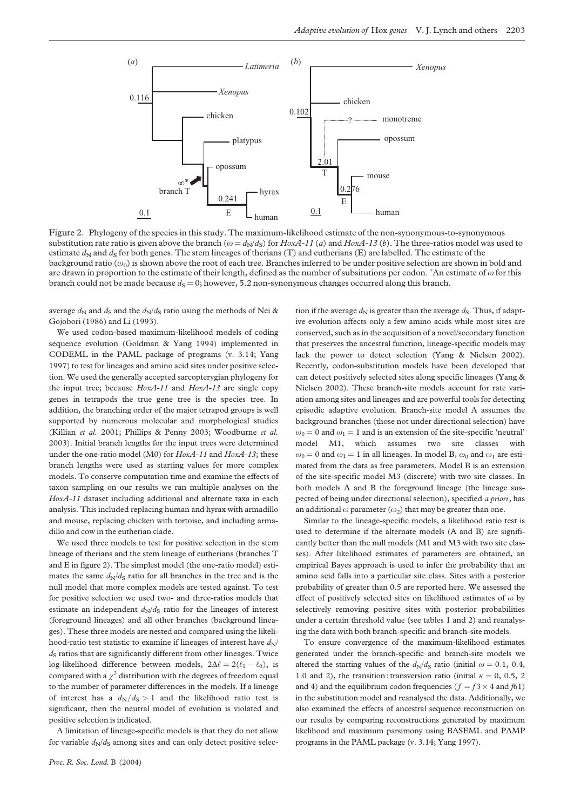<span id="page-2-0"></span>

Figure 2. Phylogeny of the species in this study. The maximum-likelihood estimate of the non-synonymous-to-synonymous substitution rate ratio is given above the branch ( $\omega = d_N/d_S$ ) for HoxA-11 (a) and HoxA-13 (b). The three-ratios model was used to estimate  $d_N$  and  $d_S$  for both genes. The stem lineages of therians (T) and eutherians (E) are labelled. The estimate of the background ratio  $(\omega_0)$  is shown above the root of each tree. Branches inferred to be under positive selection are shown in bold and are drawn in proportion to the estimate of their length, defined as the number of subsitutions per codon.  $^*$ An estimate of  $\omega$  for this branch could not be made because  $d<sub>S</sub> = 0$ ; however, 5.2 non-synonymous changes occurred along this branch.

average  $d_N$  and  $d_S$  and the  $d_N/d_S$  ratio using the methods of Nei & Gojobori (1986) and Li (1993).

We used codon-based maximum-likelihood models of coding sequence evolution (Goldman & Yang 1994) implemented in CODEML in the PAML package of programs (v. 3.14; Yang 1997) to test for lineages and amino acid sites under positive selection. We used the generally accepted sarcopterygian phylogeny for the input tree; because  $HoxA-11$  and  $HoxA-13$  are single copy genes in tetrapods the true gene tree is the species tree. In addition, the branching order of the major tetrapod groups is well supported by numerous molecular and morphological studies (Killian et al. 2001; Phillips & Penny 2003; Woodburne et al. 2003). Initial branch lengths for the input trees were determined under the one-ratio model (M0) for HoxA-11 and HoxA-13; these branch lengths were used as starting values for more complex models. To conserve computation time and examine the effects of taxon sampling on our results we ran multiple analyses on the HoxA-11 dataset including additional and alternate taxa in each analysis. This included replacing human and hyrax with armadillo and mouse, replacing chicken with tortoise, and including armadillo and cow in the eutherian clade.

We used three models to test for positive selection in the stem lineage of therians and the stem lineage of eutherians (branches T and E in figure 2). The simplest model (the one-ratio model) estimates the same  $d_N/d_S$  ratio for all branches in the tree and is the null model that more complex models are tested against. To test for positive selection we used two- and three-ratios models that estimate an independent  $d_N/d_S$  ratio for the lineages of interest (foreground lineages) and all other branches (background lineages). These three models are nested and compared using the likelihood-ratio test statistic to examine if lineages of interest have  $d_N$  $d<sub>S</sub>$  ratios that are significantly different from other lineages. Twice log-likelihood difference between models,  $2\Delta \ell = 2(\ell_1 - \ell_0)$ , is compared with a  $\chi^2$  distribution with the degrees of freedom equal to the number of parameter differences in the models. If a lineage of interest has a  $d_N/d_S > 1$  and the likelihood ratio test is significant, then the neutral model of evolution is violated and positive selection is indicated.

A limitation of lineage-specific models is that they do not allow for variable  $d_N/d_S$  among sites and can only detect positive selec-

tion if the average  $d_N$  is greater than the average  $d_S$ . Thus, if adaptive evolution affects only a few amino acids while most sites are conserved, such as in the acquisition of a novel/secondary function that preserves the ancestral function, lineage-specific models may lack the power to detect selection (Yang & Nielsen 2002). Recently, codon-substitution models have been developed that can detect positively selected sites along specific lineages (Yang & Nielsen 2002). These branch-site models account for rate variation among sites and lineages and are powerful tools for detecting episodic adaptive evolution. Branch-site model A assumes the background branches (those not under directional selection) have  $\omega_0 = 0$  and  $\omega_1 = 1$  and is an extension of the site-specific 'neutral' model M1, which assumes two site classes with  $\omega_0 = 0$  and  $\omega_1 = 1$  in all lineages. In model B,  $\omega_0$  and  $\omega_1$  are estimated from the data as free parameters. Model B is an extension of the site-specific model M3 (discrete) with two site classes. In both models A and B the foreground lineage (the lineage suspected of being under directional selection), specified a priori, has an additional  $\omega$  parameter  $(\omega_2)$  that may be greater than one.

Similar to the lineage-specific models, a likelihood ratio test is used to determine if the alternate models (A and B) are significantly better than the null models (M1 and M3 with two site classes). After likelihood estimates of parameters are obtained, an empirical Bayes approach is used to infer the probability that an amino acid falls into a particular site class. Sites with a posterior probability of greater than 0.5 are reported here. We assessed the effect of positively selected sites on likelihood estimates of  $\omega$  by selectively removing positive sites with posterior probabilities under a certain threshold value (see [tables 1 and 2\)](#page-3-0) and reanalysing the data with both branch-specific and branch-site models.

To ensure convergence of the maximum-likelihood estimates generated under the branch-specific and branch-site models we altered the starting values of the  $d_N/d_S$  ratio (initial  $\omega = 0.1, 0.4,$ 1.0 and 2), the transition: transversion ratio (initial  $\kappa = 0, 0.5, 2$ and 4) and the equilibrium codon frequencies ( $f = f^3 \times 4$  and  $f^2$ ) in the substitution model and reanalysed the data. Additionally, we also examined the effects of ancestral sequence reconstruction on our results by comparing reconstructions generated by maximum likelihood and maximum parsimony using BASEML and PAMP programs in the PAML package (v. 3.14; Yang 1997).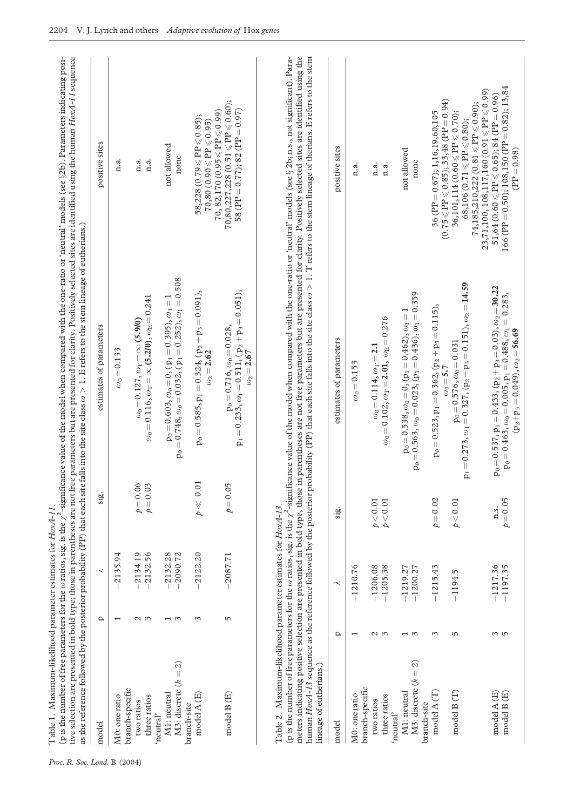<span id="page-3-0"></span>

|                                                    |                       |                          |                          | tive selection are presented in bold type; those in parentheses are not free parameters but are presented for clarity. Positively selected sites are identified using the human HoxA-11 sequence<br>(p is the number of free parameters for the $\omega$ ratios, sig. is the $\chi^2$ -significance value of the model when compared with the one-ratio or 'neutral' models (see §2b). Parameters indicating posi-<br>as the reference followed by the posterior probability (PP) that each site falls into the site class $\omega > 1$ . E refers to the stem lineage of eutherians.) |                                                                                                                                                                                                  |
|----------------------------------------------------|-----------------------|--------------------------|--------------------------|----------------------------------------------------------------------------------------------------------------------------------------------------------------------------------------------------------------------------------------------------------------------------------------------------------------------------------------------------------------------------------------------------------------------------------------------------------------------------------------------------------------------------------------------------------------------------------------|--------------------------------------------------------------------------------------------------------------------------------------------------------------------------------------------------|
| model                                              | Q                     | $\prec$                  | sig.                     | estimates of parameters                                                                                                                                                                                                                                                                                                                                                                                                                                                                                                                                                                | positive sites                                                                                                                                                                                   |
| M0: one ratio                                      |                       | 2135.94                  |                          | $\omega_0 = 0.133$                                                                                                                                                                                                                                                                                                                                                                                                                                                                                                                                                                     | n.a.                                                                                                                                                                                             |
| branch-specific<br>three ratios<br>two ratios      | $\omega$ $\omega$     | 2134.19<br>2132.56       | $p = 0.06$<br>$p = 0.03$ | $\omega_{\text{o}}\!=\!0.116,\omega_{\text{T}}\!=\!\infty$ (5.2/0), $\omega_{\text{E}}\!=\!0.241$<br>$\omega_0$ = 0.127, $\omega_{\rm T}$ = $\infty$ (5.9/0)                                                                                                                                                                                                                                                                                                                                                                                                                           | n.a.<br>n.a.                                                                                                                                                                                     |
| M3: discrete $(k = 2)$<br>M1: neutral<br>'neutral' | $\frac{1}{3}$         | $-2132.28$<br>$-2090.72$ |                          | $p_0 = 0.603, \omega_0 = 0$ , $(p_1 = 0.395), \omega_1 = 1$<br>$p_0 = 0.748, \omega_0 = 0.032$ , $(p_1 = 0.252), \omega_1 = 0.508$                                                                                                                                                                                                                                                                                                                                                                                                                                                     | not allowed<br>none                                                                                                                                                                              |
| model A (E)<br>branch-site                         | $\tilde{ }$           | $-2122.20$               | $p\ll0.01$               | $p_0 = 0.585$ , $p_1 = 0.324$ , $(p_2 + p_3 = 0.091)$ ,<br>$\omega_2 = 2.62$                                                                                                                                                                                                                                                                                                                                                                                                                                                                                                           | $58,228~(0.79 \leqslant P P \leqslant 0.85);$<br>$70,80~(0.90\leqslant {\rm PP}\leqslant 0.95)$                                                                                                  |
| model B (E)                                        | 5                     | $-2087.71$               | $p = 0.05$               | $p_1 = 0.233, \omega_1 = 0.511, (p_2 + p_3 = 0.051),$<br>$p_0 = 0.716, \omega_0 = 0.028,$<br>$\omega_2 = 2.67$                                                                                                                                                                                                                                                                                                                                                                                                                                                                         | 70,80,227,228 (0.51 $\leqslant$ PP $\leqslant$ 0.60);<br>58 (PP = $0.77$ ); 82 (PP = $0.97$ )<br>$70,82,170~(0.95\leqslant\!\mathrm{PP}\leqslant\!0.99)$                                         |
| model                                              | ₽                     | $\prec$                  | $\frac{1}{2}$            | estimates of parameters                                                                                                                                                                                                                                                                                                                                                                                                                                                                                                                                                                | positive sites                                                                                                                                                                                   |
| M0: one ratio                                      |                       | $-1210.76$               |                          | $\omega_0 = 0.153$                                                                                                                                                                                                                                                                                                                                                                                                                                                                                                                                                                     | n.a.                                                                                                                                                                                             |
| branch-specific<br>three ratios<br>two ratios      | S<br>2                | $-1206.08$<br>$-1205.38$ | $p<0.01$<br>p < 0.01     | $\omega_0 = 0.102, \omega_T = 2.01, \omega_E = 0.276$<br>$\omega_0 = 0.114, \omega_T = 2.1$                                                                                                                                                                                                                                                                                                                                                                                                                                                                                            | n.a.<br>n.a.                                                                                                                                                                                     |
| M3: discrete $(k = 2)$<br>M1: neutral<br>'neutral' | $ \omega$             | $-1219.27$<br>$-1200.27$ |                          | $p_0 = 0.563, \omega_0 = 0.023, (p_1 = 0.436), \omega_1 = 0.359$<br>$p_0 = 0.538, \omega_0 = 0, (p_1 = 0.462), \omega_1 = 1$                                                                                                                                                                                                                                                                                                                                                                                                                                                           | not allowed<br>none                                                                                                                                                                              |
| model A (T)<br>branch-site                         | $\tilde{\phantom{0}}$ | $-1215.43$               | $p = 0.02$               | $p_0 = 0.523, p_1 = 0.362, (p_2 + p_3 = 0.115),$<br>$\omega_2 =$ 5.7 $\,$                                                                                                                                                                                                                                                                                                                                                                                                                                                                                                              | $(0.75 \leqslant \mathtt{PP} \leqslant 0.85); 33,48 \; (\mathtt{PP} = 0.94)$<br>36 (PP = $0.67$ ); 1,16,19,60,105                                                                                |
| model $B(T)$                                       | 5                     | $-1194.5$                | p < 0.01                 | $p_1 = 0.273, \omega_1 = 0.327, (p_2 + p_3 = 0.151), \omega_2 = 14.59$<br>$p_0 = 0.576, \omega_0 = 0.031$                                                                                                                                                                                                                                                                                                                                                                                                                                                                              | $74,185,210,222$ (0.81 $\le$ PP $\le$ 0.90);<br>$36,101,114(0.60 \leqslant PP \leqslant 0.70);$<br>$68,106~(0.71 \leqslant P\!\!P\leqslant 0.80);$                                               |
| model B(E)<br>model A (E)                          | 3<br>5<br>5           | $-1217.36$<br>$-1197.35$ | $p = 0.05$<br>n.s.       | $p_0 = 0.537$ , $p_1 = 0.433$ , $(p_2 + p_3 = 0.03)$ , $\omega_2 = 30.22$<br>$p_0 = 0.463, \omega_0 = 0.005, p_1 = 0.488, \omega_1 = 0.283,$<br>$(p_2+p_3=0.049), \omega_2=56.69$                                                                                                                                                                                                                                                                                                                                                                                                      | 166 (PP = 0.50); 108,150 (PP = 0.82); 13,84<br>$23,71,100,108,117,160\ (0.91\leqslant\rm PP\leqslant0.99)$<br>$51,64~(0.60 \leqslant {\rm PP} \leqslant 0.65)$ ; 84 (PP = 0.96)<br>$(PP = 0.98)$ |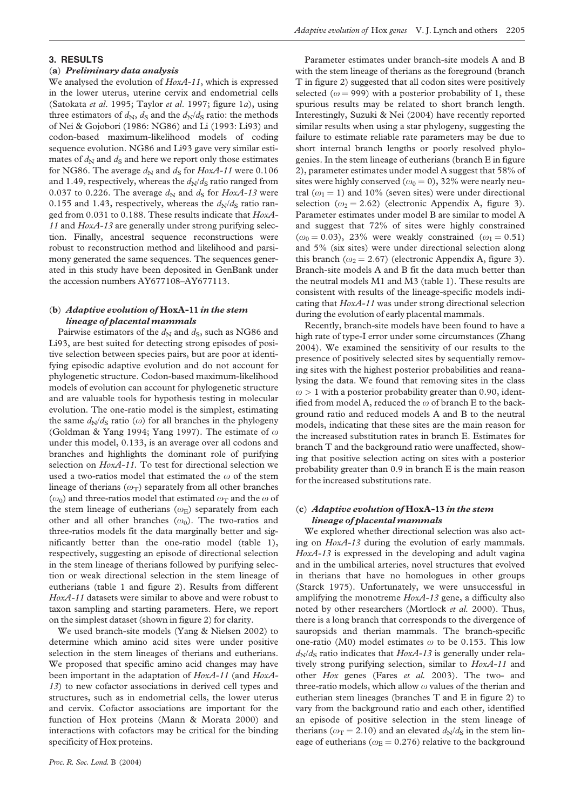## 3. RESULTS

## (a) Preliminary data analysis

We analysed the evolution of  $HoxA-11$ , which is expressed in the lower uterus, uterine cervix and endometrial cells (Satokata et al. 1995; Taylor et al. 1997; [figure 1](#page-1-0)a), using three estimators of  $d_N$ ,  $d_S$  and the  $d_N/d_S$  ratio: the methods of Nei & Gojobori (1986: NG86) and Li (1993: Li93) and codon-based maximum-likelihood models of coding sequence evolution. NG86 and Li93 gave very similar estimates of  $d_N$  and  $d_S$  and here we report only those estimates for NG86. The average  $d_N$  and  $d_S$  for HoxA-11 were 0.106 and 1.49, respectively, whereas the  $d_N/d_S$  ratio ranged from 0.037 to 0.226. The average  $d_N$  and  $d_S$  for HoxA-13 were 0.155 and 1.43, respectively, whereas the  $d_N/d_S$  ratio ranged from 0.031 to 0.188. These results indicate that HoxA-11 and HoxA-13 are generally under strong purifying selection. Finally, ancestral sequence reconstructions were robust to reconstruction method and likelihood and parsimony generated the same sequences. The sequences generated in this study have been deposited in GenBank under the accession numbers AY677108–AY677113.

## (b) Adaptive evolution of HoxA-11 in the stem lineage of placental mammals

Pairwise estimators of the  $d_N$  and  $d_S$ , such as NG86 and Li93, are best suited for detecting strong episodes of positive selection between species pairs, but are poor at identifying episodic adaptive evolution and do not account for phylogenetic structure. Codon-based maximum-likelihood models of evolution can account for phylogenetic structure and are valuable tools for hypothesis testing in molecular evolution. The one-ratio model is the simplest, estimating the same  $d_N/d_S$  ratio ( $\omega$ ) for all branches in the phylogeny (Goldman & Yang 1994; Yang 1997). The estimate of  $\omega$ under this model, 0.133, is an average over all codons and branches and highlights the dominant role of purifying selection on HoxA-11. To test for directional selection we used a two-ratios model that estimated the  $\omega$  of the stem lineage of therians  $(\omega_T)$  separately from all other branches  $(\omega_0)$  and three-ratios model that estimated  $\omega_T$  and the  $\omega$  of the stem lineage of eutherians  $(\omega_{\rm E})$  separately from each other and all other branches  $(\omega_0)$ . The two-ratios and three-ratios models fit the data marginally better and significantly better than the one-ratio model ([table 1\)](#page-3-0), respectively, suggesting an episode of directional selection in the stem lineage of therians followed by purifying selection or weak directional selection in the stem lineage of eutherians [\(table 1](#page-3-0) and [figure 2\)](#page-2-0). Results from different HoxA-11 datasets were similar to above and were robust to taxon sampling and starting parameters. Here, we report on the simplest dataset (shown in [figure 2](#page-2-0)) for clarity.

We used branch-site models (Yang & Nielsen 2002) to determine which amino acid sites were under positive selection in the stem lineages of therians and eutherians. We proposed that specific amino acid changes may have been important in the adaptation of HoxA-11 (and HoxA-13) to new cofactor associations in derived cell types and structures, such as in endometrial cells, the lower uterus and cervix. Cofactor associations are important for the function of Hox proteins (Mann & Morata 2000) and interactions with cofactors may be critical for the binding specificity of Hox proteins.

Parameter estimates under branch-site models A and B with the stem lineage of therians as the foreground (branch T in [figure 2](#page-2-0)) suggested that all codon sites were positively selected ( $\omega$  = 999) with a posterior probability of 1, these spurious results may be related to short branch length. Interestingly, Suzuki & Nei (2004) have recently reported similar results when using a star phylogeny, suggesting the failure to estimate reliable rate parameters may be due to short internal branch lengths or poorly resolved phylogenies. In the stem lineage of eutherians (branch E in [figure](#page-2-0) [2](#page-2-0)), parameter estimates under model A suggest that 58% of sites were highly conserved ( $\omega_0 = 0$ ), 32% were nearly neutral ( $\omega_1$  = 1) and 10% (seven sites) were under directional selection ( $\omega_2$  = 2.62) (electronic Appendix A, figure 3). Parameter estimates under model B are similar to model A and suggest that 72% of sites were highly constrained  $(\omega_0 = 0.03)$ , 23% were weakly constrained  $(\omega_1 = 0.51)$ and 5% (six sites) were under directional selection along this branch ( $\omega_2$  = 2.67) (electronic Appendix A, figure 3). Branch-site models A and B fit the data much better than the neutral models M1 and M3 ([table 1\)](#page-3-0). These results are consistent with results of the lineage-specific models indicating that HoxA-11 was under strong directional selection during the evolution of early placental mammals.

Recently, branch-site models have been found to have a high rate of type-I error under some circumstances (Zhang 2004). We examined the sensitivity of our results to the presence of positively selected sites by sequentially removing sites with the highest posterior probabilities and reanalysing the data. We found that removing sites in the class  $\omega > 1$  with a posterior probability greater than 0.90, identified from model A, reduced the  $\omega$  of branch E to the background ratio and reduced models A and B to the neutral models, indicating that these sites are the main reason for the increased substitution rates in branch E. Estimates for branch T and the background ratio were unaffected, showing that positive selection acting on sites with a posterior probability greater than 0.9 in branch E is the main reason for the increased substitutions rate.

## (c) Adaptive evolution of HoxA-13 in the stem lineage of placental mammals

We explored whether directional selection was also acting on HoxA-13 during the evolution of early mammals. HoxA-13 is expressed in the developing and adult vagina and in the umbilical arteries, novel structures that evolved in therians that have no homologues in other groups (Starck 1975). Unfortunately, we were unsuccessful in amplifying the monotreme HoxA-13 gene, a difficulty also noted by other researchers (Mortlock et al. 2000). Thus, there is a long branch that corresponds to the divergence of sauropsids and therian mammals. The branch-specific one-ratio (M0) model estimates  $\omega$  to be 0.153. This low  $d_N/d_S$  ratio indicates that  $HoxA-13$  is generally under relatively strong purifying selection, similar to HoxA-11 and other Hox genes (Fares et al. 2003). The two- and three-ratio models, which allow  $\omega$  values of the therian and eutherian stem lineages (branches T and E in [figure 2](#page-2-0)) to vary from the background ratio and each other, identified an episode of positive selection in the stem lineage of therians ( $\omega$ <sub>T</sub> = 2.10) and an elevated  $d_N/d_S$  in the stem lineage of eutherians ( $\omega$ <sub>E</sub> = 0.276) relative to the background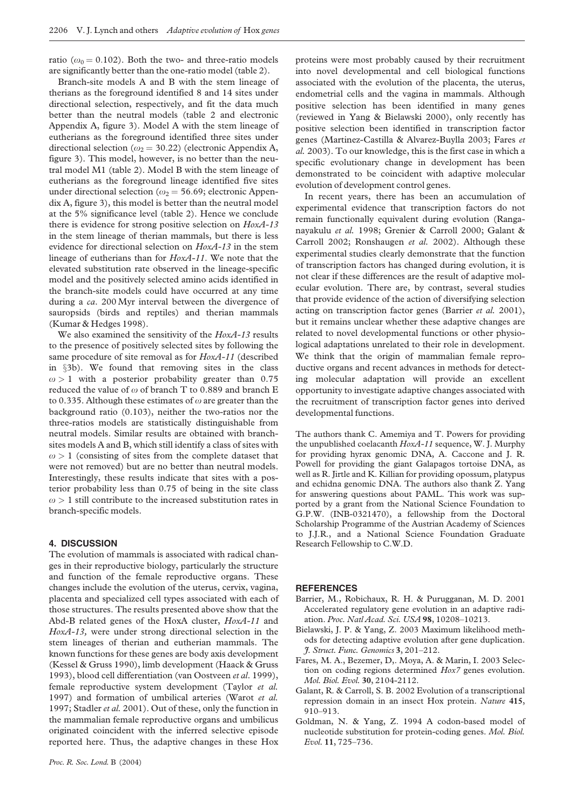ratio ( $\omega_0 = 0.102$ ). Both the two- and three-ratio models are significantly better than the one-ratio model [\(table 2](#page-3-0)).

Branch-site models A and B with the stem lineage of therians as the foreground identified 8 and 14 sites under directional selection, respectively, and fit the data much better than the neutral models [\(table 2](#page-3-0) and electronic Appendix A, figure 3). Model A with the stem lineage of eutherians as the foreground identified three sites under directional selection ( $\omega_2$  = 30.22) (electronic Appendix A, figure 3). This model, however, is no better than the neutral model M1 ([table 2\)](#page-3-0). Model B with the stem lineage of eutherians as the foreground lineage identified five sites under directional selection ( $\omega_2$  = 56.69; electronic Appendix A, figure 3), this model is better than the neutral model at the 5% significance level ([table 2](#page-3-0)). Hence we conclude there is evidence for strong positive selection on HoxA-13 in the stem lineage of therian mammals, but there is less evidence for directional selection on HoxA-13 in the stem lineage of eutherians than for HoxA-11. We note that the elevated substitution rate observed in the lineage-specific model and the positively selected amino acids identified in the branch-site models could have occurred at any time during a ca. 200 Myr interval between the divergence of sauropsids (birds and reptiles) and therian mammals (Kumar & Hedges 1998).

We also examined the sensitivity of the HoxA-13 results to the presence of positively selected sites by following the same procedure of site removal as for HoxA-11 (described in §3b). We found that removing sites in the class  $\omega > 1$  with a posterior probability greater than 0.75 reduced the value of  $\omega$  of branch T to 0.889 and branch E to 0.335. Although these estimates of  $\omega$  are greater than the background ratio (0.103), neither the two-ratios nor the three-ratios models are statistically distinguishable from neutral models. Similar results are obtained with branchsites models A and B, which still identify a class of sites with  $\omega > 1$  (consisting of sites from the complete dataset that were not removed) but are no better than neutral models. Interestingly, these results indicate that sites with a posterior probability less than 0.75 of being in the site class  $\omega > 1$  still contribute to the increased substitution rates in branch-specific models.

## 4. DISCUSSION

The evolution of mammals is associated with radical changes in their reproductive biology, particularly the structure and function of the female reproductive organs. These changes include the evolution of the uterus, cervix, vagina, placenta and specialized cell types associated with each of those structures. The results presented above show that the Abd-B related genes of the HoxA cluster, HoxA-11 and HoxA-13, were under strong directional selection in the stem lineages of therian and eutherian mammals. The known functions for these genes are body axis development (Kessel & Gruss 1990), limb development (Haack & Gruss 1993), blood cell differentiation (van Oostveen et al. 1999), female reproductive system development (Taylor et al. 1997) and formation of umbilical arteries (Warot et al. 1997; Stadler et al. 2001). Out of these, only the function in the mammalian female reproductive organs and umbilicus originated coincident with the inferred selective episode reported here. Thus, the adaptive changes in these Hox proteins were most probably caused by their recruitment into novel developmental and cell biological functions associated with the evolution of the placenta, the uterus, endometrial cells and the vagina in mammals. Although positive selection has been identified in many genes (reviewed in Yang & Bielawski 2000), only recently has positive selection been identified in transcription factor genes (Martinez-Castilla & Alvarez-Buylla 2003; Fares et al. 2003). To our knowledge, this is the first case in which a specific evolutionary change in development has been demonstrated to be coincident with adaptive molecular evolution of development control genes.

In recent years, there has been an accumulation of experimental evidence that transcription factors do not remain functionally equivalent during evolution (Ranganayakulu et al. 1998; Grenier & Carroll 2000; Galant & Carroll 2002; Ronshaugen et al. 2002). Although these experimental studies clearly demonstrate that the function of transcription factors has changed during evolution, it is not clear if these differences are the result of adaptive molecular evolution. There are, by contrast, several studies that provide evidence of the action of diversifying selection acting on transcription factor genes (Barrier et al. 2001), but it remains unclear whether these adaptive changes are related to novel developmental functions or other physiological adaptations unrelated to their role in development. We think that the origin of mammalian female reproductive organs and recent advances in methods for detecting molecular adaptation will provide an excellent opportunity to investigate adaptive changes associated with the recruitment of transcription factor genes into derived developmental functions.

The authors thank C. Amemiya and T. Powers for providing the unpublished coelacanth  $HoxA-11$  sequence, W. J. Murphy for providing hyrax genomic DNA, A. Caccone and J. R. Powell for providing the giant Galapagos tortoise DNA, as well as R. Jirtle and K. Killian for providing opossum, platypus and echidna genomic DNA. The authors also thank Z. Yang for answering questions about PAML. This work was supported by a grant from the National Science Foundation to G.P.W. (INB-0321470), a fellowship from the Doctoral Scholarship Programme of the Austrian Academy of Sciences to J.J.R., and a National Science Foundation Graduate Research Fellowship to C.W.D.

#### **REFERENCES**

- Barrier, M., Robichaux, R. H. & Purugganan, M. D. 2001 Accelerated regulatory gene evolution in an adaptive radiation. Proc. Natl Acad. Sci. USA 98, 10208–10213.
- Bielawski, J. P. & Yang, Z. 2003 Maximum likelihood methods for detecting adaptive evolution after gene duplication. J. Struct. Func. Genomics 3, 201–212.
- Fares, M. A., Bezemer, D,. Moya, A. & Marin, I. 2003 Selection on coding regions determined Hox7 genes evolution. Mol. Biol. Evol. 30, 2104-2112.
- Galant, R. & Carroll, S. B. 2002 Evolution of a transcriptional repression domain in an insect Hox protein. Nature 415, 910–913.
- Goldman, N. & Yang, Z. 1994 A codon-based model of nucleotide substitution for protein-coding genes. Mol. Biol. Evol. 11, 725–736.